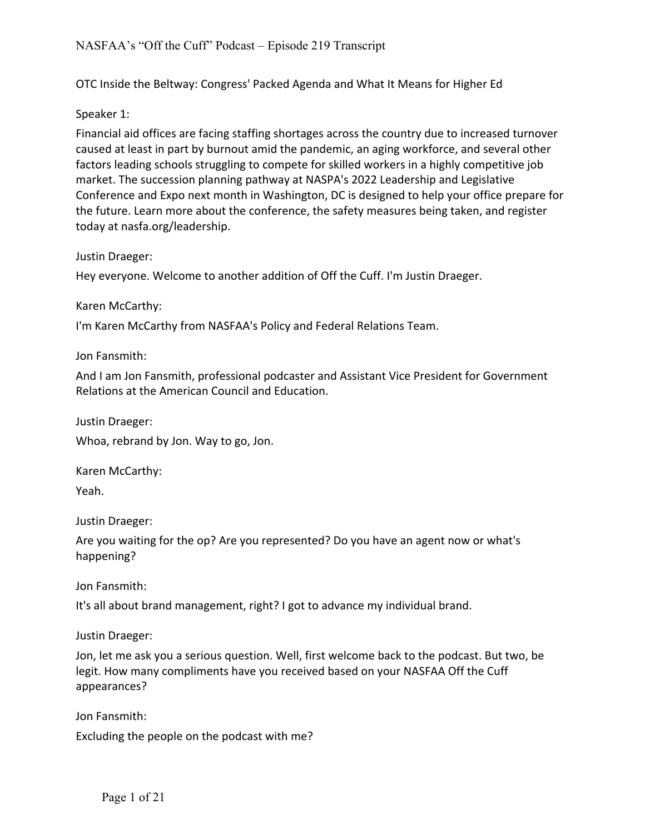OTC Inside the Beltway: Congress' Packed Agenda and What It Means for Higher Ed

## Speaker 1:

Financial aid offices are facing staffing shortages across the country due to increased turnover caused at least in part by burnout amid the pandemic, an aging workforce, and several other factors leading schools struggling to compete for skilled workers in a highly competitive job market. The succession planning pathway at NASPA's 2022 Leadership and Legislative Conference and Expo next month in Washington, DC is designed to help your office prepare for the future. Learn more about the conference, the safety measures being taken, and register today at nasfa.org/leadership.

## Justin Draeger:

Hey everyone. Welcome to another addition of Off the Cuff. I'm Justin Draeger.

Karen McCarthy:

I'm Karen McCarthy from NASFAA's Policy and Federal Relations Team.

Jon Fansmith:

And I am Jon Fansmith, professional podcaster and Assistant Vice President for Government Relations at the American Council and Education.

Justin Draeger:

Whoa, rebrand by Jon. Way to go, Jon.

Karen McCarthy: Yeah.

Justin Draeger:

Are you waiting for the op? Are you represented? Do you have an agent now or what's happening?

Jon Fansmith:

It's all about brand management, right? I got to advance my individual brand.

Justin Draeger:

Jon, let me ask you a serious question. Well, first welcome back to the podcast. But two, be legit. How many compliments have you received based on your NASFAA Off the Cuff appearances?

Jon Fansmith:

Excluding the people on the podcast with me?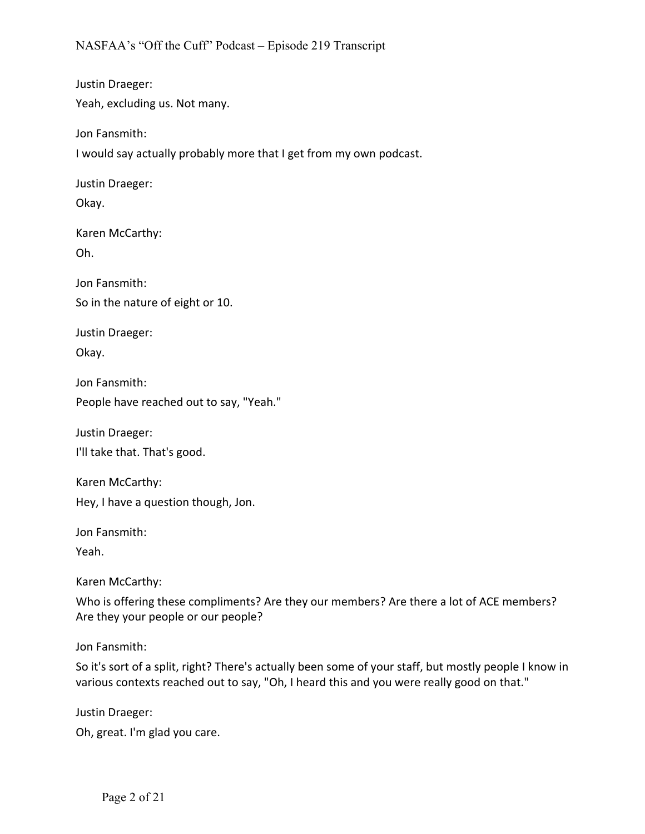Justin Draeger: Yeah, excluding us. Not many.

Jon Fansmith:

I would say actually probably more that I get from my own podcast.

Justin Draeger:

Okay.

Karen McCarthy: Oh.

Jon Fansmith: So in the nature of eight or 10.

Justin Draeger:

Okay.

Jon Fansmith: People have reached out to say, "Yeah."

Justin Draeger:

I'll take that. That's good.

Karen McCarthy: Hey, I have a question though, Jon.

Jon Fansmith:

Yeah.

Karen McCarthy:

Who is offering these compliments? Are they our members? Are there a lot of ACE members? Are they your people or our people?

Jon Fansmith:

So it's sort of a split, right? There's actually been some of your staff, but mostly people I know in various contexts reached out to say, "Oh, I heard this and you were really good on that."

Justin Draeger:

Oh, great. I'm glad you care.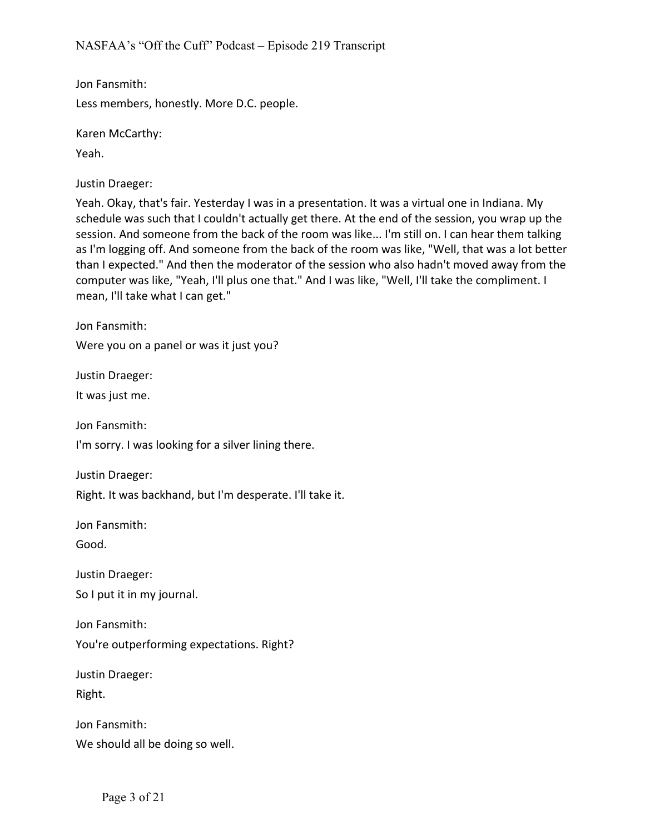Jon Fansmith: Less members, honestly. More D.C. people.

Karen McCarthy:

Yeah.

Justin Draeger:

Yeah. Okay, that's fair. Yesterday I was in a presentation. It was a virtual one in Indiana. My schedule was such that I couldn't actually get there. At the end of the session, you wrap up the session. And someone from the back of the room was like... I'm still on. I can hear them talking as I'm logging off. And someone from the back of the room was like, "Well, that was a lot better than I expected." And then the moderator of the session who also hadn't moved away from the computer was like, "Yeah, I'll plus one that." And I was like, "Well, I'll take the compliment. I mean, I'll take what I can get."

Jon Fansmith:

Were you on a panel or was it just you?

Justin Draeger:

It was just me.

Jon Fansmith:

I'm sorry. I was looking for a silver lining there.

Justin Draeger:

Right. It was backhand, but I'm desperate. I'll take it.

Jon Fansmith:

Good.

Justin Draeger:

So I put it in my journal.

Jon Fansmith:

You're outperforming expectations. Right?

Justin Draeger:

Right.

Jon Fansmith: We should all be doing so well.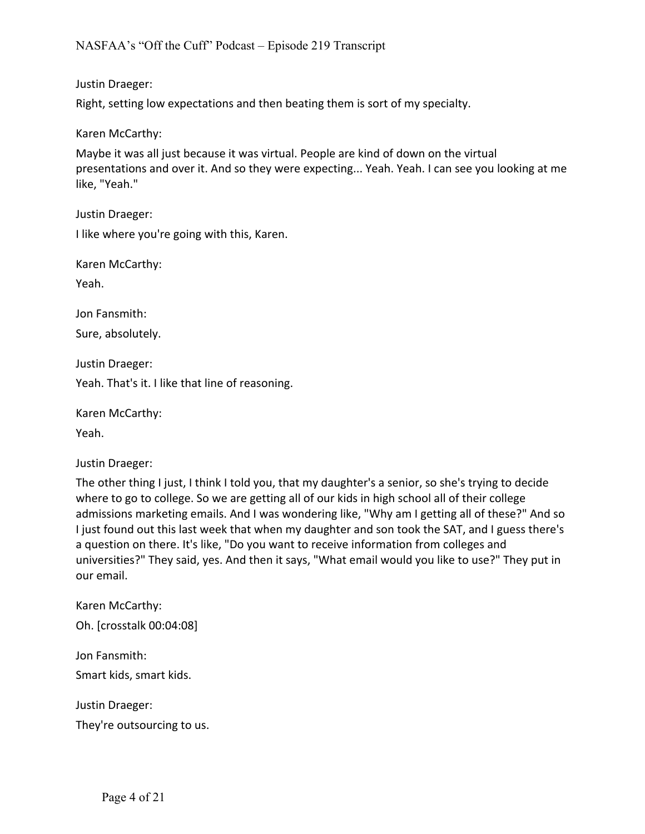Justin Draeger:

Right, setting low expectations and then beating them is sort of my specialty.

Karen McCarthy:

Maybe it was all just because it was virtual. People are kind of down on the virtual presentations and over it. And so they were expecting... Yeah. Yeah. I can see you looking at me like, "Yeah."

Justin Draeger: I like where you're going with this, Karen.

Karen McCarthy:

Yeah.

Jon Fansmith:

Sure, absolutely.

Justin Draeger:

Yeah. That's it. I like that line of reasoning.

Karen McCarthy:

Yeah.

Justin Draeger:

The other thing I just, I think I told you, that my daughter's a senior, so she's trying to decide where to go to college. So we are getting all of our kids in high school all of their college admissions marketing emails. And I was wondering like, "Why am I getting all of these?" And so I just found out this last week that when my daughter and son took the SAT, and I guess there's a question on there. It's like, "Do you want to receive information from colleges and universities?" They said, yes. And then it says, "What email would you like to use?" They put in our email.

Karen McCarthy: Oh. [crosstalk 00:04:08]

Jon Fansmith: Smart kids, smart kids.

Justin Draeger:

They're outsourcing to us.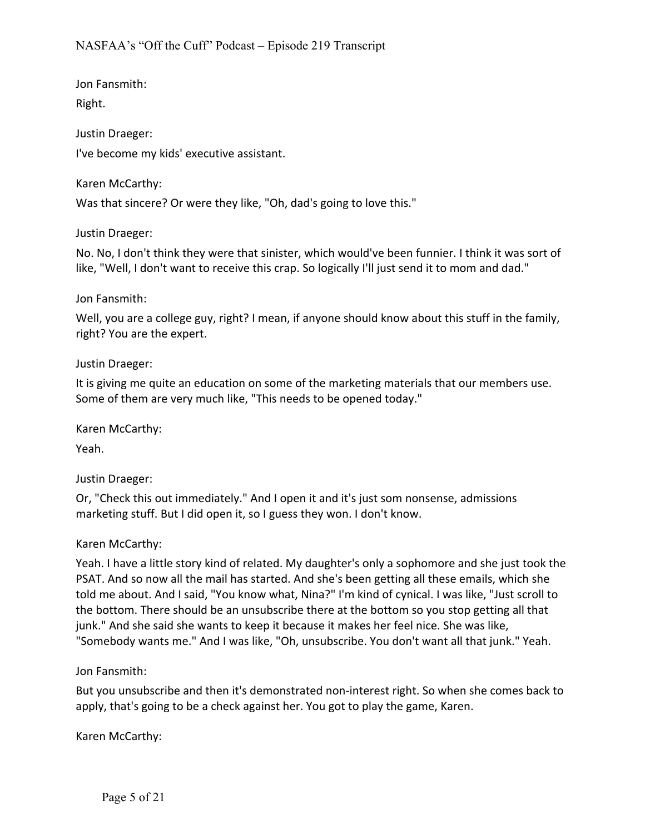Jon Fansmith: Right.

Justin Draeger: I've become my kids' executive assistant.

Karen McCarthy:

Was that sincere? Or were they like, "Oh, dad's going to love this."

Justin Draeger:

No. No, I don't think they were that sinister, which would've been funnier. I think it was sort of like, "Well, I don't want to receive this crap. So logically I'll just send it to mom and dad."

## Jon Fansmith:

Well, you are a college guy, right? I mean, if anyone should know about this stuff in the family, right? You are the expert.

# Justin Draeger:

It is giving me quite an education on some of the marketing materials that our members use. Some of them are very much like, "This needs to be opened today."

Karen McCarthy:

Yeah.

Justin Draeger:

Or, "Check this out immediately." And I open it and it's just som nonsense, admissions marketing stuff. But I did open it, so I guess they won. I don't know.

## Karen McCarthy:

Yeah. I have a little story kind of related. My daughter's only a sophomore and she just took the PSAT. And so now all the mail has started. And she's been getting all these emails, which she told me about. And I said, "You know what, Nina?" I'm kind of cynical. I was like, "Just scroll to the bottom. There should be an unsubscribe there at the bottom so you stop getting all that junk." And she said she wants to keep it because it makes her feel nice. She was like, "Somebody wants me." And I was like, "Oh, unsubscribe. You don't want all that junk." Yeah.

Jon Fansmith:

But you unsubscribe and then it's demonstrated non-interest right. So when she comes back to apply, that's going to be a check against her. You got to play the game, Karen.

Karen McCarthy: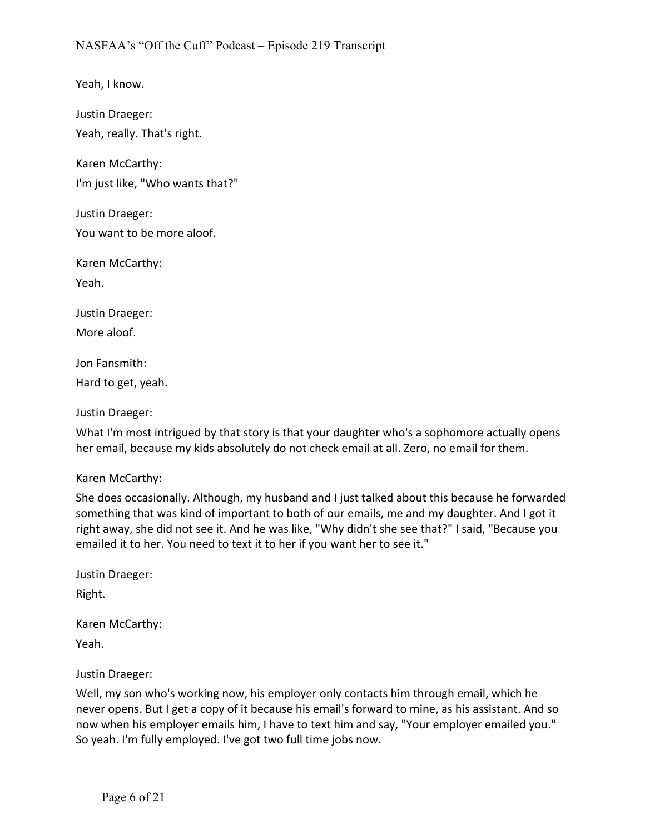Yeah, I know.

Justin Draeger: Yeah, really. That's right.

Karen McCarthy: I'm just like, "Who wants that?"

Justin Draeger: You want to be more aloof.

Karen McCarthy:

Yeah.

Justin Draeger:

More aloof.

Jon Fansmith:

Hard to get, yeah.

Justin Draeger:

What I'm most intrigued by that story is that your daughter who's a sophomore actually opens her email, because my kids absolutely do not check email at all. Zero, no email for them.

#### Karen McCarthy:

She does occasionally. Although, my husband and I just talked about this because he forwarded something that was kind of important to both of our emails, me and my daughter. And I got it right away, she did not see it. And he was like, "Why didn't she see that?" I said, "Because you emailed it to her. You need to text it to her if you want her to see it."

Justin Draeger:

Right.

Karen McCarthy:

Yeah.

Justin Draeger:

Well, my son who's working now, his employer only contacts him through email, which he never opens. But I get a copy of it because his email's forward to mine, as his assistant. And so now when his employer emails him, I have to text him and say, "Your employer emailed you." So yeah. I'm fully employed. I've got two full time jobs now.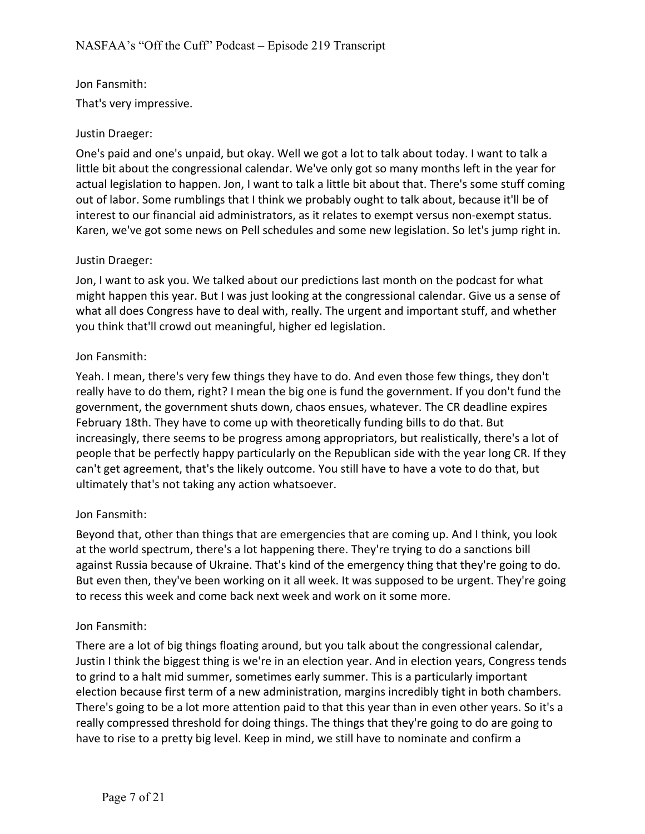# Jon Fansmith:

That's very impressive.

#### Justin Draeger:

One's paid and one's unpaid, but okay. Well we got a lot to talk about today. I want to talk a little bit about the congressional calendar. We've only got so many months left in the year for actual legislation to happen. Jon, I want to talk a little bit about that. There's some stuff coming out of labor. Some rumblings that I think we probably ought to talk about, because it'll be of interest to our financial aid administrators, as it relates to exempt versus non-exempt status. Karen, we've got some news on Pell schedules and some new legislation. So let's jump right in.

#### Justin Draeger:

Jon, I want to ask you. We talked about our predictions last month on the podcast for what might happen this year. But I was just looking at the congressional calendar. Give us a sense of what all does Congress have to deal with, really. The urgent and important stuff, and whether you think that'll crowd out meaningful, higher ed legislation.

#### Jon Fansmith:

Yeah. I mean, there's very few things they have to do. And even those few things, they don't really have to do them, right? I mean the big one is fund the government. If you don't fund the government, the government shuts down, chaos ensues, whatever. The CR deadline expires February 18th. They have to come up with theoretically funding bills to do that. But increasingly, there seems to be progress among appropriators, but realistically, there's a lot of people that be perfectly happy particularly on the Republican side with the year long CR. If they can't get agreement, that's the likely outcome. You still have to have a vote to do that, but ultimately that's not taking any action whatsoever.

## Jon Fansmith:

Beyond that, other than things that are emergencies that are coming up. And I think, you look at the world spectrum, there's a lot happening there. They're trying to do a sanctions bill against Russia because of Ukraine. That's kind of the emergency thing that they're going to do. But even then, they've been working on it all week. It was supposed to be urgent. They're going to recess this week and come back next week and work on it some more.

#### Jon Fansmith:

There are a lot of big things floating around, but you talk about the congressional calendar, Justin I think the biggest thing is we're in an election year. And in election years, Congress tends to grind to a halt mid summer, sometimes early summer. This is a particularly important election because first term of a new administration, margins incredibly tight in both chambers. There's going to be a lot more attention paid to that this year than in even other years. So it's a really compressed threshold for doing things. The things that they're going to do are going to have to rise to a pretty big level. Keep in mind, we still have to nominate and confirm a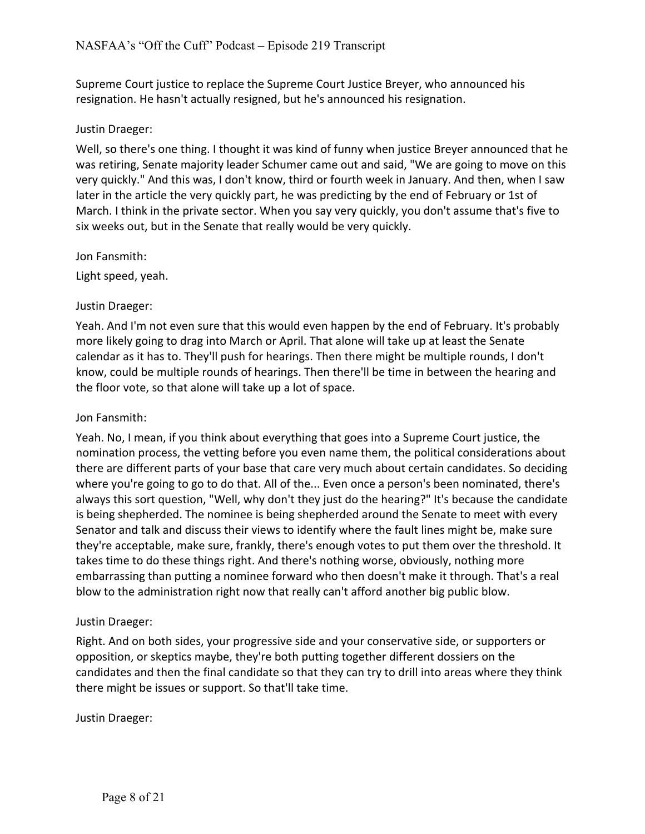Supreme Court justice to replace the Supreme Court Justice Breyer, who announced his resignation. He hasn't actually resigned, but he's announced his resignation.

## Justin Draeger:

Well, so there's one thing. I thought it was kind of funny when justice Breyer announced that he was retiring, Senate majority leader Schumer came out and said, "We are going to move on this very quickly." And this was, I don't know, third or fourth week in January. And then, when I saw later in the article the very quickly part, he was predicting by the end of February or 1st of March. I think in the private sector. When you say very quickly, you don't assume that's five to six weeks out, but in the Senate that really would be very quickly.

Jon Fansmith:

Light speed, yeah.

## Justin Draeger:

Yeah. And I'm not even sure that this would even happen by the end of February. It's probably more likely going to drag into March or April. That alone will take up at least the Senate calendar as it has to. They'll push for hearings. Then there might be multiple rounds, I don't know, could be multiple rounds of hearings. Then there'll be time in between the hearing and the floor vote, so that alone will take up a lot of space.

#### Jon Fansmith:

Yeah. No, I mean, if you think about everything that goes into a Supreme Court justice, the nomination process, the vetting before you even name them, the political considerations about there are different parts of your base that care very much about certain candidates. So deciding where you're going to go to do that. All of the... Even once a person's been nominated, there's always this sort question, "Well, why don't they just do the hearing?" It's because the candidate is being shepherded. The nominee is being shepherded around the Senate to meet with every Senator and talk and discuss their views to identify where the fault lines might be, make sure they're acceptable, make sure, frankly, there's enough votes to put them over the threshold. It takes time to do these things right. And there's nothing worse, obviously, nothing more embarrassing than putting a nominee forward who then doesn't make it through. That's a real blow to the administration right now that really can't afford another big public blow.

#### Justin Draeger:

Right. And on both sides, your progressive side and your conservative side, or supporters or opposition, or skeptics maybe, they're both putting together different dossiers on the candidates and then the final candidate so that they can try to drill into areas where they think there might be issues or support. So that'll take time.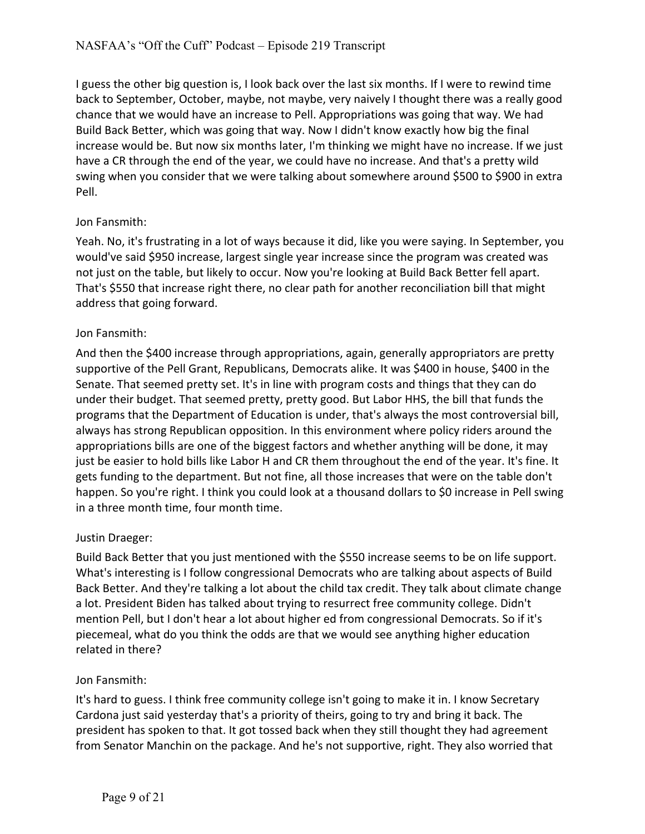I guess the other big question is, I look back over the last six months. If I were to rewind time back to September, October, maybe, not maybe, very naively I thought there was a really good chance that we would have an increase to Pell. Appropriations was going that way. We had Build Back Better, which was going that way. Now I didn't know exactly how big the final increase would be. But now six months later, I'm thinking we might have no increase. If we just have a CR through the end of the year, we could have no increase. And that's a pretty wild swing when you consider that we were talking about somewhere around \$500 to \$900 in extra Pell.

# Jon Fansmith:

Yeah. No, it's frustrating in a lot of ways because it did, like you were saying. In September, you would've said \$950 increase, largest single year increase since the program was created was not just on the table, but likely to occur. Now you're looking at Build Back Better fell apart. That's \$550 that increase right there, no clear path for another reconciliation bill that might address that going forward.

# Jon Fansmith:

And then the \$400 increase through appropriations, again, generally appropriators are pretty supportive of the Pell Grant, Republicans, Democrats alike. It was \$400 in house, \$400 in the Senate. That seemed pretty set. It's in line with program costs and things that they can do under their budget. That seemed pretty, pretty good. But Labor HHS, the bill that funds the programs that the Department of Education is under, that's always the most controversial bill, always has strong Republican opposition. In this environment where policy riders around the appropriations bills are one of the biggest factors and whether anything will be done, it may just be easier to hold bills like Labor H and CR them throughout the end of the year. It's fine. It gets funding to the department. But not fine, all those increases that were on the table don't happen. So you're right. I think you could look at a thousand dollars to \$0 increase in Pell swing in a three month time, four month time.

## Justin Draeger:

Build Back Better that you just mentioned with the \$550 increase seems to be on life support. What's interesting is I follow congressional Democrats who are talking about aspects of Build Back Better. And they're talking a lot about the child tax credit. They talk about climate change a lot. President Biden has talked about trying to resurrect free community college. Didn't mention Pell, but I don't hear a lot about higher ed from congressional Democrats. So if it's piecemeal, what do you think the odds are that we would see anything higher education related in there?

## Jon Fansmith:

It's hard to guess. I think free community college isn't going to make it in. I know Secretary Cardona just said yesterday that's a priority of theirs, going to try and bring it back. The president has spoken to that. It got tossed back when they still thought they had agreement from Senator Manchin on the package. And he's not supportive, right. They also worried that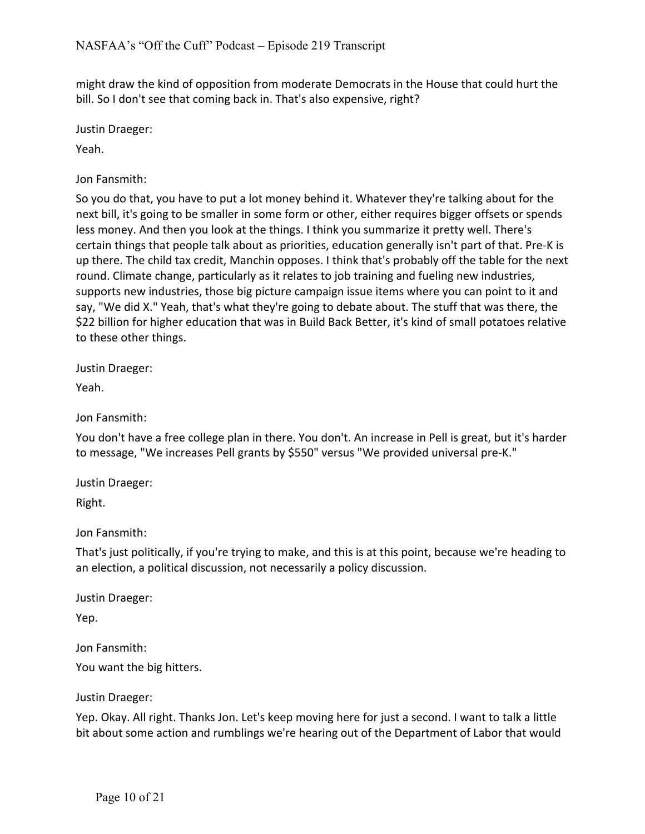might draw the kind of opposition from moderate Democrats in the House that could hurt the bill. So I don't see that coming back in. That's also expensive, right?

Justin Draeger:

Yeah.

Jon Fansmith:

So you do that, you have to put a lot money behind it. Whatever they're talking about for the next bill, it's going to be smaller in some form or other, either requires bigger offsets or spends less money. And then you look at the things. I think you summarize it pretty well. There's certain things that people talk about as priorities, education generally isn't part of that. Pre-K is up there. The child tax credit, Manchin opposes. I think that's probably off the table for the next round. Climate change, particularly as it relates to job training and fueling new industries, supports new industries, those big picture campaign issue items where you can point to it and say, "We did X." Yeah, that's what they're going to debate about. The stuff that was there, the \$22 billion for higher education that was in Build Back Better, it's kind of small potatoes relative to these other things.

Justin Draeger:

Yeah.

Jon Fansmith:

You don't have a free college plan in there. You don't. An increase in Pell is great, but it's harder to message, "We increases Pell grants by \$550" versus "We provided universal pre-K."

Justin Draeger:

Right.

Jon Fansmith:

That's just politically, if you're trying to make, and this is at this point, because we're heading to an election, a political discussion, not necessarily a policy discussion.

Justin Draeger:

Yep.

Jon Fansmith:

You want the big hitters.

Justin Draeger:

Yep. Okay. All right. Thanks Jon. Let's keep moving here for just a second. I want to talk a little bit about some action and rumblings we're hearing out of the Department of Labor that would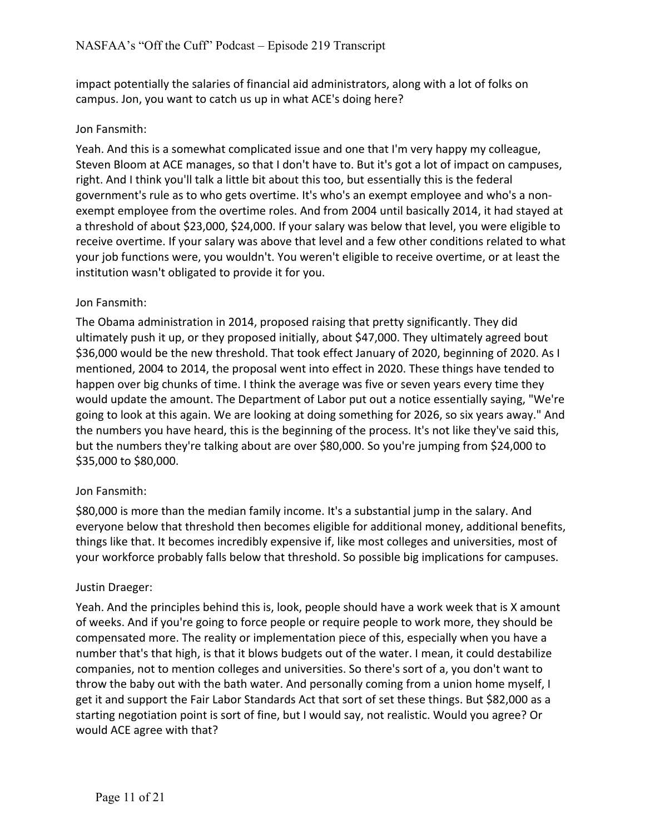impact potentially the salaries of financial aid administrators, along with a lot of folks on campus. Jon, you want to catch us up in what ACE's doing here?

## Jon Fansmith:

Yeah. And this is a somewhat complicated issue and one that I'm very happy my colleague, Steven Bloom at ACE manages, so that I don't have to. But it's got a lot of impact on campuses, right. And I think you'll talk a little bit about this too, but essentially this is the federal government's rule as to who gets overtime. It's who's an exempt employee and who's a nonexempt employee from the overtime roles. And from 2004 until basically 2014, it had stayed at a threshold of about \$23,000, \$24,000. If your salary was below that level, you were eligible to receive overtime. If your salary was above that level and a few other conditions related to what your job functions were, you wouldn't. You weren't eligible to receive overtime, or at least the institution wasn't obligated to provide it for you.

## Jon Fansmith:

The Obama administration in 2014, proposed raising that pretty significantly. They did ultimately push it up, or they proposed initially, about \$47,000. They ultimately agreed bout \$36,000 would be the new threshold. That took effect January of 2020, beginning of 2020. As I mentioned, 2004 to 2014, the proposal went into effect in 2020. These things have tended to happen over big chunks of time. I think the average was five or seven years every time they would update the amount. The Department of Labor put out a notice essentially saying, "We're going to look at this again. We are looking at doing something for 2026, so six years away." And the numbers you have heard, this is the beginning of the process. It's not like they've said this, but the numbers they're talking about are over \$80,000. So you're jumping from \$24,000 to \$35,000 to \$80,000.

## Jon Fansmith:

\$80,000 is more than the median family income. It's a substantial jump in the salary. And everyone below that threshold then becomes eligible for additional money, additional benefits, things like that. It becomes incredibly expensive if, like most colleges and universities, most of your workforce probably falls below that threshold. So possible big implications for campuses.

#### Justin Draeger:

Yeah. And the principles behind this is, look, people should have a work week that is X amount of weeks. And if you're going to force people or require people to work more, they should be compensated more. The reality or implementation piece of this, especially when you have a number that's that high, is that it blows budgets out of the water. I mean, it could destabilize companies, not to mention colleges and universities. So there's sort of a, you don't want to throw the baby out with the bath water. And personally coming from a union home myself, I get it and support the Fair Labor Standards Act that sort of set these things. But \$82,000 as a starting negotiation point is sort of fine, but I would say, not realistic. Would you agree? Or would ACE agree with that?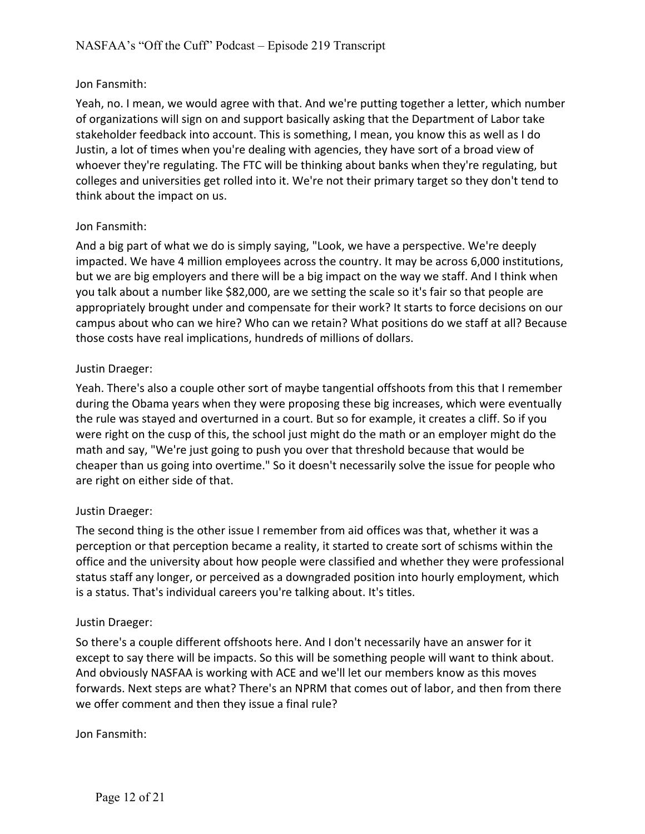## Jon Fansmith:

Yeah, no. I mean, we would agree with that. And we're putting together a letter, which number of organizations will sign on and support basically asking that the Department of Labor take stakeholder feedback into account. This is something, I mean, you know this as well as I do Justin, a lot of times when you're dealing with agencies, they have sort of a broad view of whoever they're regulating. The FTC will be thinking about banks when they're regulating, but colleges and universities get rolled into it. We're not their primary target so they don't tend to think about the impact on us.

## Jon Fansmith:

And a big part of what we do is simply saying, "Look, we have a perspective. We're deeply impacted. We have 4 million employees across the country. It may be across 6,000 institutions, but we are big employers and there will be a big impact on the way we staff. And I think when you talk about a number like \$82,000, are we setting the scale so it's fair so that people are appropriately brought under and compensate for their work? It starts to force decisions on our campus about who can we hire? Who can we retain? What positions do we staff at all? Because those costs have real implications, hundreds of millions of dollars.

## Justin Draeger:

Yeah. There's also a couple other sort of maybe tangential offshoots from this that I remember during the Obama years when they were proposing these big increases, which were eventually the rule was stayed and overturned in a court. But so for example, it creates a cliff. So if you were right on the cusp of this, the school just might do the math or an employer might do the math and say, "We're just going to push you over that threshold because that would be cheaper than us going into overtime." So it doesn't necessarily solve the issue for people who are right on either side of that.

## Justin Draeger:

The second thing is the other issue I remember from aid offices was that, whether it was a perception or that perception became a reality, it started to create sort of schisms within the office and the university about how people were classified and whether they were professional status staff any longer, or perceived as a downgraded position into hourly employment, which is a status. That's individual careers you're talking about. It's titles.

## Justin Draeger:

So there's a couple different offshoots here. And I don't necessarily have an answer for it except to say there will be impacts. So this will be something people will want to think about. And obviously NASFAA is working with ACE and we'll let our members know as this moves forwards. Next steps are what? There's an NPRM that comes out of labor, and then from there we offer comment and then they issue a final rule?

Jon Fansmith: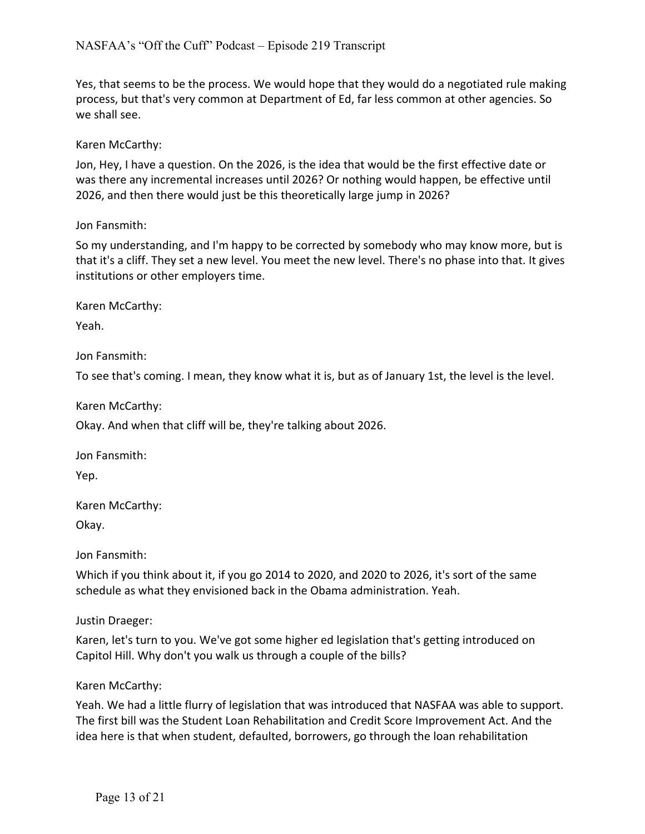Yes, that seems to be the process. We would hope that they would do a negotiated rule making process, but that's very common at Department of Ed, far less common at other agencies. So we shall see.

# Karen McCarthy:

Jon, Hey, I have a question. On the 2026, is the idea that would be the first effective date or was there any incremental increases until 2026? Or nothing would happen, be effective until 2026, and then there would just be this theoretically large jump in 2026?

# Jon Fansmith:

So my understanding, and I'm happy to be corrected by somebody who may know more, but is that it's a cliff. They set a new level. You meet the new level. There's no phase into that. It gives institutions or other employers time.

Karen McCarthy:

Yeah.

Jon Fansmith:

To see that's coming. I mean, they know what it is, but as of January 1st, the level is the level.

Karen McCarthy:

Okay. And when that cliff will be, they're talking about 2026.

Jon Fansmith:

Yep.

Karen McCarthy:

Okay.

Jon Fansmith:

Which if you think about it, if you go 2014 to 2020, and 2020 to 2026, it's sort of the same schedule as what they envisioned back in the Obama administration. Yeah.

Justin Draeger:

Karen, let's turn to you. We've got some higher ed legislation that's getting introduced on Capitol Hill. Why don't you walk us through a couple of the bills?

## Karen McCarthy:

Yeah. We had a little flurry of legislation that was introduced that NASFAA was able to support. The first bill was the Student Loan Rehabilitation and Credit Score Improvement Act. And the idea here is that when student, defaulted, borrowers, go through the loan rehabilitation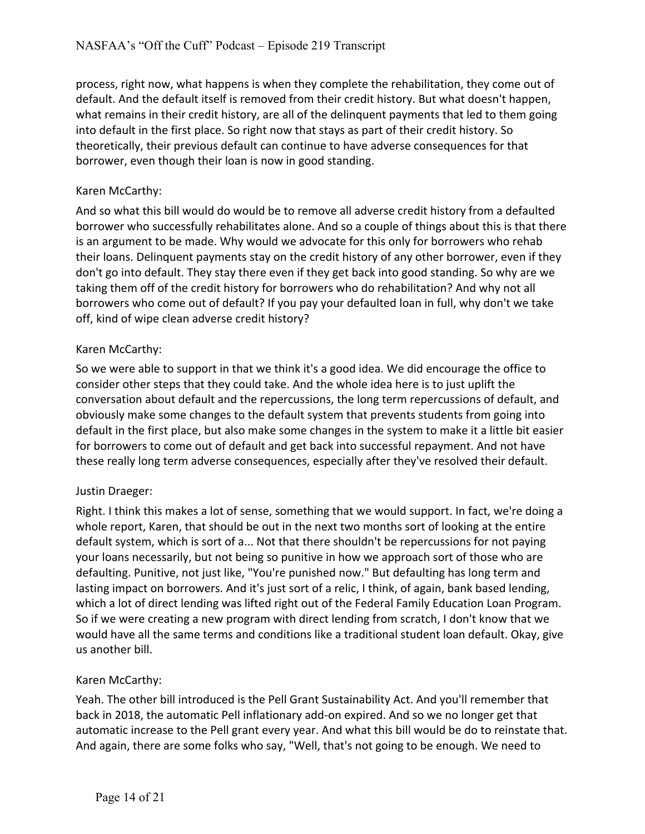process, right now, what happens is when they complete the rehabilitation, they come out of default. And the default itself is removed from their credit history. But what doesn't happen, what remains in their credit history, are all of the delinquent payments that led to them going into default in the first place. So right now that stays as part of their credit history. So theoretically, their previous default can continue to have adverse consequences for that borrower, even though their loan is now in good standing.

# Karen McCarthy:

And so what this bill would do would be to remove all adverse credit history from a defaulted borrower who successfully rehabilitates alone. And so a couple of things about this is that there is an argument to be made. Why would we advocate for this only for borrowers who rehab their loans. Delinquent payments stay on the credit history of any other borrower, even if they don't go into default. They stay there even if they get back into good standing. So why are we taking them off of the credit history for borrowers who do rehabilitation? And why not all borrowers who come out of default? If you pay your defaulted loan in full, why don't we take off, kind of wipe clean adverse credit history?

# Karen McCarthy:

So we were able to support in that we think it's a good idea. We did encourage the office to consider other steps that they could take. And the whole idea here is to just uplift the conversation about default and the repercussions, the long term repercussions of default, and obviously make some changes to the default system that prevents students from going into default in the first place, but also make some changes in the system to make it a little bit easier for borrowers to come out of default and get back into successful repayment. And not have these really long term adverse consequences, especially after they've resolved their default.

## Justin Draeger:

Right. I think this makes a lot of sense, something that we would support. In fact, we're doing a whole report, Karen, that should be out in the next two months sort of looking at the entire default system, which is sort of a... Not that there shouldn't be repercussions for not paying your loans necessarily, but not being so punitive in how we approach sort of those who are defaulting. Punitive, not just like, "You're punished now." But defaulting has long term and lasting impact on borrowers. And it's just sort of a relic, I think, of again, bank based lending, which a lot of direct lending was lifted right out of the Federal Family Education Loan Program. So if we were creating a new program with direct lending from scratch, I don't know that we would have all the same terms and conditions like a traditional student loan default. Okay, give us another bill.

## Karen McCarthy:

Yeah. The other bill introduced is the Pell Grant Sustainability Act. And you'll remember that back in 2018, the automatic Pell inflationary add-on expired. And so we no longer get that automatic increase to the Pell grant every year. And what this bill would be do to reinstate that. And again, there are some folks who say, "Well, that's not going to be enough. We need to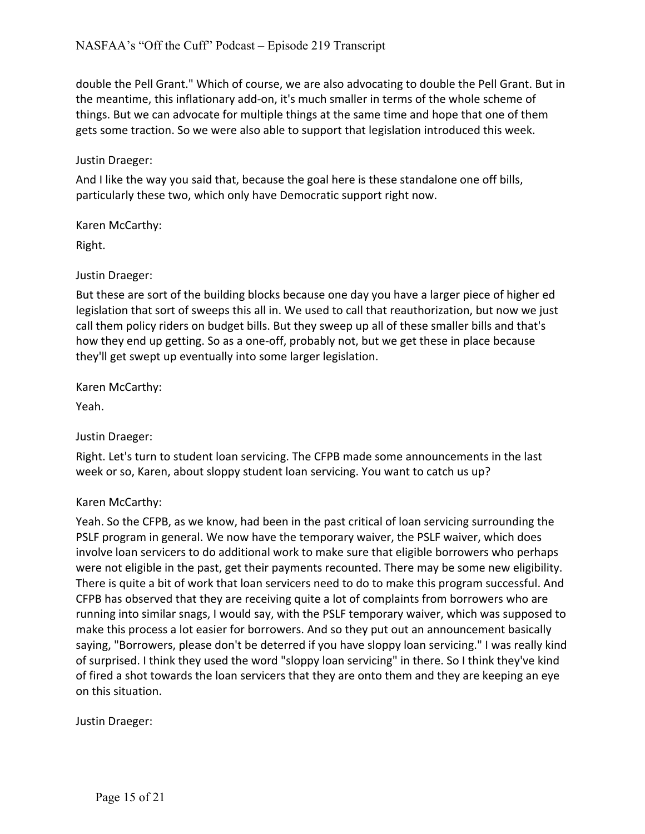double the Pell Grant." Which of course, we are also advocating to double the Pell Grant. But in the meantime, this inflationary add-on, it's much smaller in terms of the whole scheme of things. But we can advocate for multiple things at the same time and hope that one of them gets some traction. So we were also able to support that legislation introduced this week.

#### Justin Draeger:

And I like the way you said that, because the goal here is these standalone one off bills, particularly these two, which only have Democratic support right now.

Karen McCarthy:

Right.

#### Justin Draeger:

But these are sort of the building blocks because one day you have a larger piece of higher ed legislation that sort of sweeps this all in. We used to call that reauthorization, but now we just call them policy riders on budget bills. But they sweep up all of these smaller bills and that's how they end up getting. So as a one-off, probably not, but we get these in place because they'll get swept up eventually into some larger legislation.

Karen McCarthy:

Yeah.

Justin Draeger:

Right. Let's turn to student loan servicing. The CFPB made some announcements in the last week or so, Karen, about sloppy student loan servicing. You want to catch us up?

## Karen McCarthy:

Yeah. So the CFPB, as we know, had been in the past critical of loan servicing surrounding the PSLF program in general. We now have the temporary waiver, the PSLF waiver, which does involve loan servicers to do additional work to make sure that eligible borrowers who perhaps were not eligible in the past, get their payments recounted. There may be some new eligibility. There is quite a bit of work that loan servicers need to do to make this program successful. And CFPB has observed that they are receiving quite a lot of complaints from borrowers who are running into similar snags, I would say, with the PSLF temporary waiver, which was supposed to make this process a lot easier for borrowers. And so they put out an announcement basically saying, "Borrowers, please don't be deterred if you have sloppy loan servicing." I was really kind of surprised. I think they used the word "sloppy loan servicing" in there. So I think they've kind of fired a shot towards the loan servicers that they are onto them and they are keeping an eye on this situation.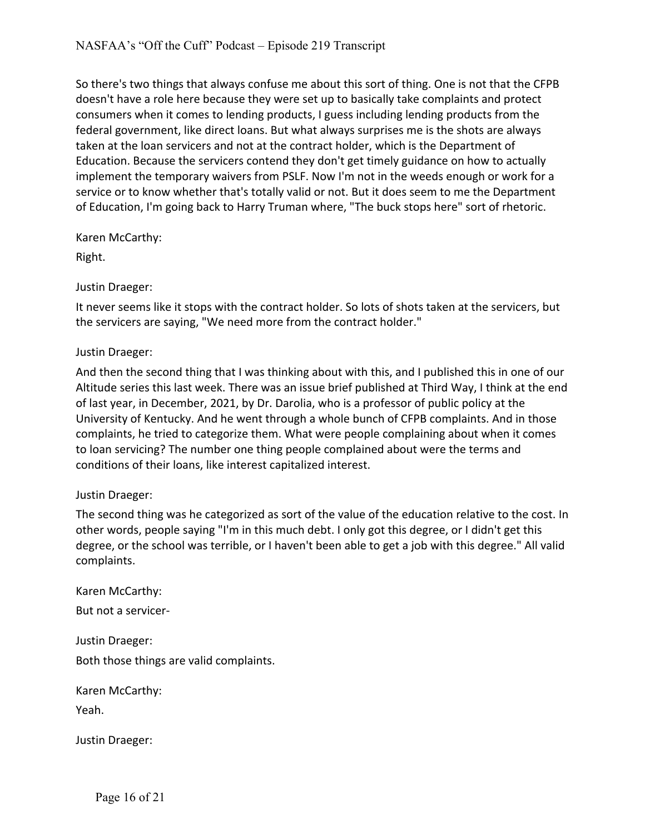So there's two things that always confuse me about this sort of thing. One is not that the CFPB doesn't have a role here because they were set up to basically take complaints and protect consumers when it comes to lending products, I guess including lending products from the federal government, like direct loans. But what always surprises me is the shots are always taken at the loan servicers and not at the contract holder, which is the Department of Education. Because the servicers contend they don't get timely guidance on how to actually implement the temporary waivers from PSLF. Now I'm not in the weeds enough or work for a service or to know whether that's totally valid or not. But it does seem to me the Department of Education, I'm going back to Harry Truman where, "The buck stops here" sort of rhetoric.

Karen McCarthy:

Right.

Justin Draeger:

It never seems like it stops with the contract holder. So lots of shots taken at the servicers, but the servicers are saying, "We need more from the contract holder."

#### Justin Draeger:

And then the second thing that I was thinking about with this, and I published this in one of our Altitude series this last week. There was an issue brief published at Third Way, I think at the end of last year, in December, 2021, by Dr. Darolia, who is a professor of public policy at the University of Kentucky. And he went through a whole bunch of CFPB complaints. And in those complaints, he tried to categorize them. What were people complaining about when it comes to loan servicing? The number one thing people complained about were the terms and conditions of their loans, like interest capitalized interest.

#### Justin Draeger:

The second thing was he categorized as sort of the value of the education relative to the cost. In other words, people saying "I'm in this much debt. I only got this degree, or I didn't get this degree, or the school was terrible, or I haven't been able to get a job with this degree." All valid complaints.

Karen McCarthy: But not a servicer-

Justin Draeger: Both those things are valid complaints.

Karen McCarthy:

Yeah.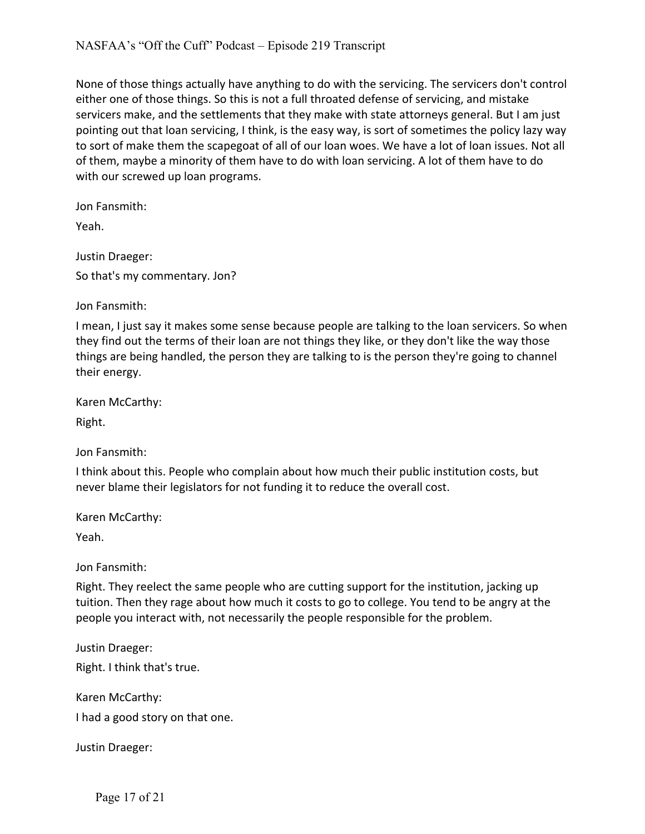None of those things actually have anything to do with the servicing. The servicers don't control either one of those things. So this is not a full throated defense of servicing, and mistake servicers make, and the settlements that they make with state attorneys general. But I am just pointing out that loan servicing, I think, is the easy way, is sort of sometimes the policy lazy way to sort of make them the scapegoat of all of our loan woes. We have a lot of loan issues. Not all of them, maybe a minority of them have to do with loan servicing. A lot of them have to do with our screwed up loan programs.

Jon Fansmith:

Yeah.

Justin Draeger: So that's my commentary. Jon?

Jon Fansmith:

I mean, I just say it makes some sense because people are talking to the loan servicers. So when they find out the terms of their loan are not things they like, or they don't like the way those things are being handled, the person they are talking to is the person they're going to channel their energy.

Karen McCarthy:

Right.

Jon Fansmith:

I think about this. People who complain about how much their public institution costs, but never blame their legislators for not funding it to reduce the overall cost.

Karen McCarthy:

Yeah.

Jon Fansmith:

Right. They reelect the same people who are cutting support for the institution, jacking up tuition. Then they rage about how much it costs to go to college. You tend to be angry at the people you interact with, not necessarily the people responsible for the problem.

Justin Draeger:

Right. I think that's true.

Karen McCarthy:

I had a good story on that one.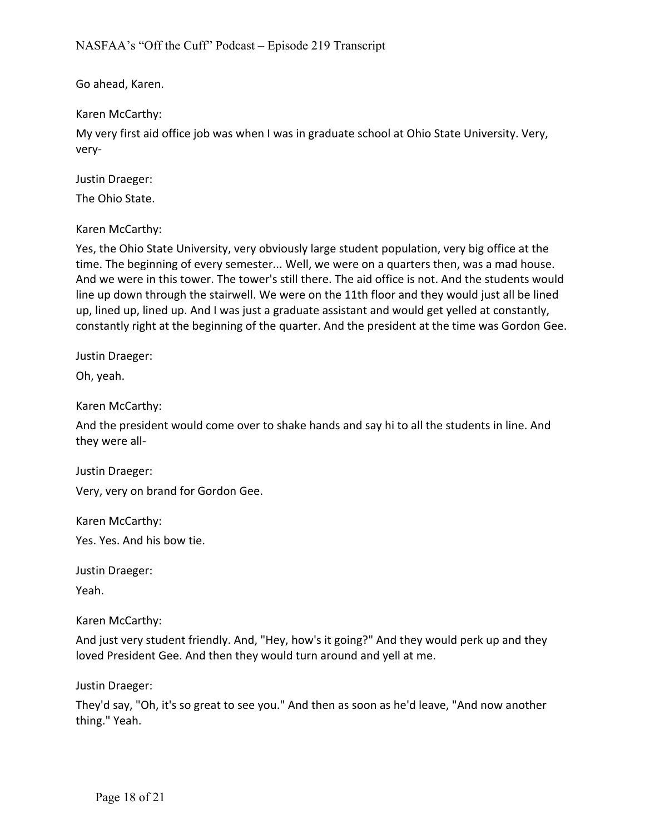Go ahead, Karen.

Karen McCarthy:

My very first aid office job was when I was in graduate school at Ohio State University. Very, very-

Justin Draeger:

The Ohio State.

Karen McCarthy:

Yes, the Ohio State University, very obviously large student population, very big office at the time. The beginning of every semester... Well, we were on a quarters then, was a mad house. And we were in this tower. The tower's still there. The aid office is not. And the students would line up down through the stairwell. We were on the 11th floor and they would just all be lined up, lined up, lined up. And I was just a graduate assistant and would get yelled at constantly, constantly right at the beginning of the quarter. And the president at the time was Gordon Gee.

Justin Draeger:

Oh, yeah.

Karen McCarthy:

And the president would come over to shake hands and say hi to all the students in line. And they were all-

Justin Draeger:

Very, very on brand for Gordon Gee.

Karen McCarthy:

Yes. Yes. And his bow tie.

Justin Draeger:

Yeah.

Karen McCarthy:

And just very student friendly. And, "Hey, how's it going?" And they would perk up and they loved President Gee. And then they would turn around and yell at me.

Justin Draeger:

They'd say, "Oh, it's so great to see you." And then as soon as he'd leave, "And now another thing." Yeah.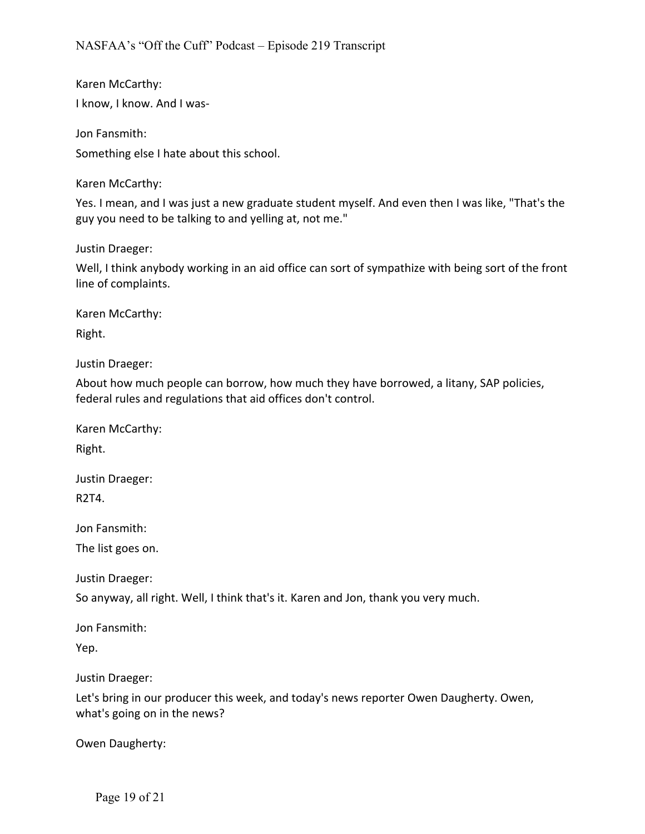Karen McCarthy: I know, I know. And I was-

Jon Fansmith:

Something else I hate about this school.

Karen McCarthy:

Yes. I mean, and I was just a new graduate student myself. And even then I was like, "That's the guy you need to be talking to and yelling at, not me."

Justin Draeger:

Well, I think anybody working in an aid office can sort of sympathize with being sort of the front line of complaints.

Karen McCarthy:

Right.

Justin Draeger:

About how much people can borrow, how much they have borrowed, a litany, SAP policies, federal rules and regulations that aid offices don't control.

Karen McCarthy:

Right.

Justin Draeger: R2T4.

Jon Fansmith:

The list goes on.

Justin Draeger:

So anyway, all right. Well, I think that's it. Karen and Jon, thank you very much.

Jon Fansmith:

Yep.

Justin Draeger:

Let's bring in our producer this week, and today's news reporter Owen Daugherty. Owen, what's going on in the news?

Owen Daugherty: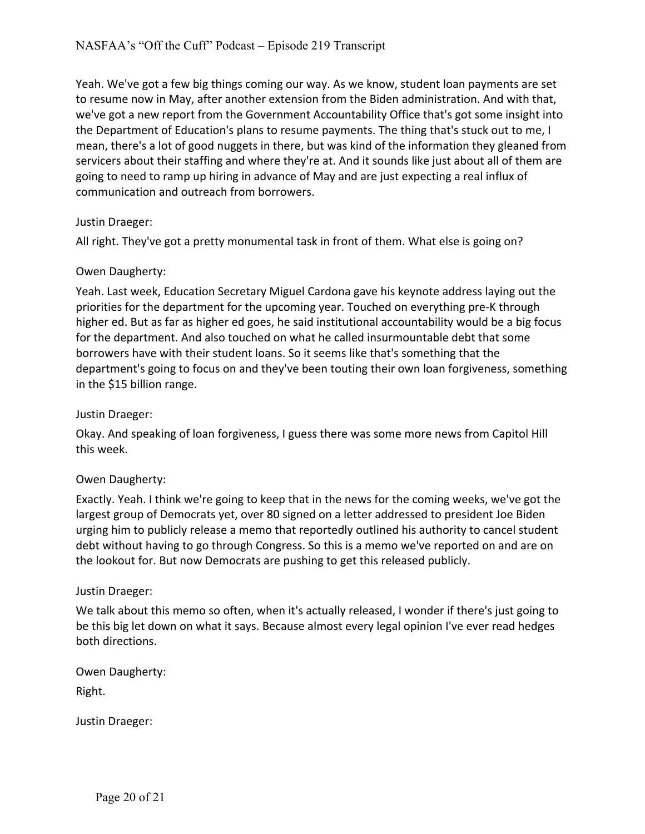Yeah. We've got a few big things coming our way. As we know, student loan payments are set to resume now in May, after another extension from the Biden administration. And with that, we've got a new report from the Government Accountability Office that's got some insight into the Department of Education's plans to resume payments. The thing that's stuck out to me, I mean, there's a lot of good nuggets in there, but was kind of the information they gleaned from servicers about their staffing and where they're at. And it sounds like just about all of them are going to need to ramp up hiring in advance of May and are just expecting a real influx of communication and outreach from borrowers.

## Justin Draeger:

All right. They've got a pretty monumental task in front of them. What else is going on?

# Owen Daugherty:

Yeah. Last week, Education Secretary Miguel Cardona gave his keynote address laying out the priorities for the department for the upcoming year. Touched on everything pre-K through higher ed. But as far as higher ed goes, he said institutional accountability would be a big focus for the department. And also touched on what he called insurmountable debt that some borrowers have with their student loans. So it seems like that's something that the department's going to focus on and they've been touting their own loan forgiveness, something in the \$15 billion range.

## Justin Draeger:

Okay. And speaking of loan forgiveness, I guess there was some more news from Capitol Hill this week.

## Owen Daugherty:

Exactly. Yeah. I think we're going to keep that in the news for the coming weeks, we've got the largest group of Democrats yet, over 80 signed on a letter addressed to president Joe Biden urging him to publicly release a memo that reportedly outlined his authority to cancel student debt without having to go through Congress. So this is a memo we've reported on and are on the lookout for. But now Democrats are pushing to get this released publicly.

## Justin Draeger:

We talk about this memo so often, when it's actually released, I wonder if there's just going to be this big let down on what it says. Because almost every legal opinion I've ever read hedges both directions.

Owen Daugherty:

Right.